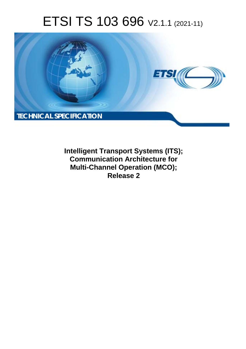# ETSI TS 103 696 V2.1.1 (2021-11)



**Intelligent Transport Systems (ITS); Communication Architecture for Multi-Channel Operation (MCO); Release 2**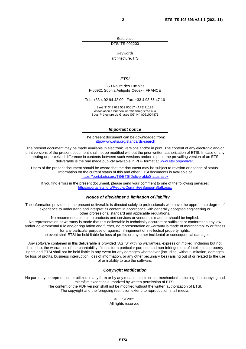Reference

DTS/ITS-002200

Keywords

architecture, ITS

#### *ETSI*

650 Route des Lucioles F-06921 Sophia Antipolis Cedex - FRANCE

Tel.: +33 4 92 94 42 00 Fax: +33 4 93 65 47 16

Siret N° 348 623 562 00017 - APE 7112B Association à but non lucratif enregistrée à la Sous-Préfecture de Grasse (06) N° w061004871

#### *Important notice*

The present document can be downloaded from: <http://www.etsi.org/standards-search>

The present document may be made available in electronic versions and/or in print. The content of any electronic and/or print versions of the present document shall not be modified without the prior written authorization of ETSI. In case of any existing or perceived difference in contents between such versions and/or in print, the prevailing version of an ETSI deliverable is the one made publicly available in PDF format at [www.etsi.org/deliver](http://www.etsi.org/deliver).

Users of the present document should be aware that the document may be subject to revision or change of status. Information on the current status of this and other ETSI documents is available at <https://portal.etsi.org/TB/ETSIDeliverableStatus.aspx>

If you find errors in the present document, please send your comment to one of the following services: <https://portal.etsi.org/People/CommiteeSupportStaff.aspx>

#### *Notice of disclaimer & limitation of liability*

The information provided in the present deliverable is directed solely to professionals who have the appropriate degree of experience to understand and interpret its content in accordance with generally accepted engineering or other professional standard and applicable regulations.

No recommendation as to products and services or vendors is made or should be implied.

No representation or warranty is made that this deliverable is technically accurate or sufficient or conforms to any law and/or governmental rule and/or regulation and further, no representation or warranty is made of merchantability or fitness for any particular purpose or against infringement of intellectual property rights.

In no event shall ETSI be held liable for loss of profits or any other incidental or consequential damages.

Any software contained in this deliverable is provided "AS IS" with no warranties, express or implied, including but not limited to, the warranties of merchantability, fitness for a particular purpose and non-infringement of intellectual property rights and ETSI shall not be held liable in any event for any damages whatsoever (including, without limitation, damages for loss of profits, business interruption, loss of information, or any other pecuniary loss) arising out of or related to the use of or inability to use the software.

#### *Copyright Notification*

No part may be reproduced or utilized in any form or by any means, electronic or mechanical, including photocopying and microfilm except as authorized by written permission of ETSI. The content of the PDF version shall not be modified without the written authorization of ETSI.

The copyright and the foregoing restriction extend to reproduction in all media.

© ETSI 2021. All rights reserved.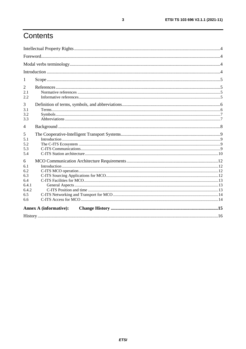# Contents

| 1                             |  |  |  |  |
|-------------------------------|--|--|--|--|
| 2                             |  |  |  |  |
| 2.1                           |  |  |  |  |
| 2.2                           |  |  |  |  |
| 3                             |  |  |  |  |
| 3.1                           |  |  |  |  |
| 3.2                           |  |  |  |  |
| 3.3                           |  |  |  |  |
| 4                             |  |  |  |  |
| 5                             |  |  |  |  |
| 5.1                           |  |  |  |  |
| 5.2                           |  |  |  |  |
| 5.3                           |  |  |  |  |
| 5.4                           |  |  |  |  |
| 6                             |  |  |  |  |
| 6.1                           |  |  |  |  |
| 6.2                           |  |  |  |  |
| 6.3                           |  |  |  |  |
| 6.4                           |  |  |  |  |
| 6.4.1                         |  |  |  |  |
| 6.4.2                         |  |  |  |  |
| 6.5                           |  |  |  |  |
| 6.6                           |  |  |  |  |
| <b>Annex A (informative):</b> |  |  |  |  |
|                               |  |  |  |  |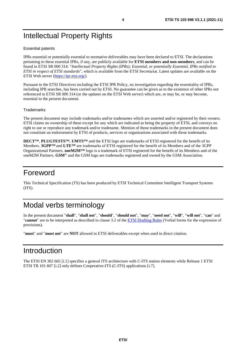# <span id="page-3-0"></span>Intellectual Property Rights

#### Essential patents

IPRs essential or potentially essential to normative deliverables may have been declared to ETSI. The declarations pertaining to these essential IPRs, if any, are publicly available for **ETSI members and non-members**, and can be found in ETSI SR 000 314: *"Intellectual Property Rights (IPRs); Essential, or potentially Essential, IPRs notified to ETSI in respect of ETSI standards"*, which is available from the ETSI Secretariat. Latest updates are available on the ETSI Web server [\(https://ipr.etsi.org/](https://ipr.etsi.org/)).

Pursuant to the ETSI Directives including the ETSI IPR Policy, no investigation regarding the essentiality of IPRs, including IPR searches, has been carried out by ETSI. No guarantee can be given as to the existence of other IPRs not referenced in ETSI SR 000 314 (or the updates on the ETSI Web server) which are, or may be, or may become, essential to the present document.

#### **Trademarks**

The present document may include trademarks and/or tradenames which are asserted and/or registered by their owners. ETSI claims no ownership of these except for any which are indicated as being the property of ETSI, and conveys no right to use or reproduce any trademark and/or tradename. Mention of those trademarks in the present document does not constitute an endorsement by ETSI of products, services or organizations associated with those trademarks.

**DECT™**, **PLUGTESTS™**, **UMTS™** and the ETSI logo are trademarks of ETSI registered for the benefit of its Members. **3GPP™** and **LTE™** are trademarks of ETSI registered for the benefit of its Members and of the 3GPP Organizational Partners. **oneM2M™** logo is a trademark of ETSI registered for the benefit of its Members and of the oneM2M Partners. **GSM**® and the GSM logo are trademarks registered and owned by the GSM Association.

#### Foreword

This Technical Specification (TS) has been produced by ETSI Technical Committee Intelligent Transport Systems (ITS).

# Modal verbs terminology

In the present document "**shall**", "**shall not**", "**should**", "**should not**", "**may**", "**need not**", "**will**", "**will not**", "**can**" and "**cannot**" are to be interpreted as described in clause 3.2 of the [ETSI Drafting Rules](https://portal.etsi.org/Services/editHelp!/Howtostart/ETSIDraftingRules.aspx) (Verbal forms for the expression of provisions).

"**must**" and "**must not**" are **NOT** allowed in ETSI deliverables except when used in direct citation.

#### Introduction

The ETSI EN 302 665 [\[i.1](#page-4-0)] specifies a general ITS architecture with C-ITS station elements while Release 1 ETSI ETSI TR 101 607 [\[i.2](#page-4-0)] only defines Cooperative-ITS (C-ITS) applications [\[i.7](#page-5-0)].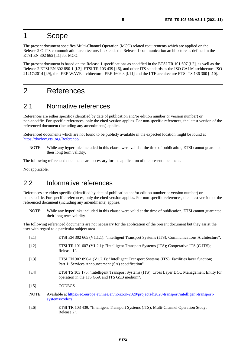## <span id="page-4-0"></span>1 Scope

The present document specifies Multi-Channel Operation (MCO) related requirements which are applied on the Release 2 C-ITS communication architecture. It extends the Release 1 communication architecture as defined in the ETSI EN 302 665 [i.1] for MCO.

The present document is based on the Release 1 specifications as specified in the ETSI TR 101 607 [i.2], as well as the Release 2 ETSI EN 302 890-1 [i.3], ETSI TR 103 439 [i.6], and other ITS standards as the ISO CALM architecture ISO 21217:2014 [\[i.9](#page-5-0)], the IEEE WAVE architecture IEEE 1609.3 [\[i.11](#page-5-0)] and the LTE architecture ETSI TS 136 300 [\[i.10](#page-5-0)].

## 2 References

#### 2.1 Normative references

References are either specific (identified by date of publication and/or edition number or version number) or non-specific. For specific references, only the cited version applies. For non-specific references, the latest version of the referenced document (including any amendments) applies.

Referenced documents which are not found to be publicly available in the expected location might be found at <https://docbox.etsi.org/Reference/>.

NOTE: While any hyperlinks included in this clause were valid at the time of publication, ETSI cannot guarantee their long term validity.

The following referenced documents are necessary for the application of the present document.

Not applicable.

#### 2.2 Informative references

Release 2".

References are either specific (identified by date of publication and/or edition number or version number) or non-specific. For specific references, only the cited version applies. For non-specific references, the latest version of the referenced document (including any amendments) applies.

NOTE: While any hyperlinks included in this clause were valid at the time of publication, ETSI cannot guarantee their long term validity.

The following referenced documents are not necessary for the application of the present document but they assist the user with regard to a particular subject area.

- [i.1] ETSI EN 302 665 (V1.1.1): "Intelligent Transport Systems (ITS); Communications Architecture". [i.2] ETSI TR 101 607 (V1.2.1): "Intelligent Transport Systems (ITS); Cooperative ITS (C-ITS); Release 1". [i.3] ETSI EN 302 890-1 (V1.2.1): "Intelligent Transport Systems (ITS); Facilities layer function; Part 1: Services Announcement (SA) specification". [i.4] ETSI TS 103 175: "Intelligent Transport Systems (ITS); Cross Layer DCC Management Entity for operation in the ITS G5A and ITS G5B medium". [i.5] CODECS. NOTE: Available at [https://ec.europa.eu/inea/en/horizon-2020/projects/h2020-transport/intelligent-transport](https://ec.europa.eu/inea/en/horizon-2020/projects/h2020-transport/intelligent-transport-systems/codecs)-
- [systems/codecs](https://ec.europa.eu/inea/en/horizon-2020/projects/h2020-transport/intelligent-transport-systems/codecs). [i.6] ETSI TR 103 439: "Intelligent Transport Systems (ITS); Multi-Channel Operation Study;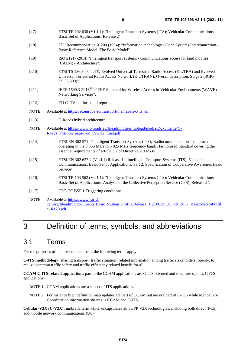- <span id="page-5-0"></span>[i.7] ETSI TR 102 638 (V1.1.1): "Intelligent Transport Systems (ITS); Vehicular Communications; Basic Set of Applications; Release 2".
- [i.8] ITU Recommendation X.200 (1994): "Information technology Open Systems Interconnection Basic Reference Model: The Basic Model".
- [i.9] ISO 21217-2014: "Intelligent transport systems Communications access for land mobiles (CALM) - Architecture".
- [i.10] ETSI TS 136 300: "LTE; Evolved Universal Terrestrial Radio Access (E-UTRA) and Evolved Universal Terrestrial Radio Access Network (E-UTRAN); Overall description; Stage 2 (3GPP TS 36.300)".
- [i.11] IEEE 1609.3-2016TM: "EEE Standard for Wireless Access in Vehicular Environments (WAVE) -- Networking Services".
- [i.12] EU C-ITS platform and reports.
- NOTE: Available at [https://ec.europa.eu/transport/themes/its/c-its\\_en](https://ec.europa.eu/transport/themes/its/c-its_en).
- [i.13] C-Roads hybrid architecture.
- NOTE: Available at [https://www.c-roads.eu/fileadmin/user\\_upload/media/Dokumente/C](https://www.c-roads.eu/fileadmin/user_upload/media/Dokumente/C-Roads_Position_paper_on_59GHz_final.pdf)-Roads Position paper on 59GHz final.pdf.
- [i.14] ETSI EN 302 571: "Intelligent Transport Systems (ITS); Radiocommunications equipment operating in the 5 855 MHz to 5 925 MHz frequency band; Harmonised Standard covering the essential requirements of article 3.2 of Directive 2014/53/EU".
- [i.15] ETSI EN 302 637-2 (V1.4.1) Release 1: "Intelligent Transport Systems (ITS); Vehicular Communications; Basic Set of Applications; Part 2: Specification of Cooperative Awareness Basic Service".
- [i.16] ETSI TR 103 562 (V2.1.1): "Intelligent Transport Systems (ITS); Vehicular Communications; Basic Set of Applications; Analysis of the Collective Perception Service (CPS); Release 2".
- [i.17] C2C-CC BSP 1 Triggering conditions.
- NOTE: Available at [https://www.car-2](https://www.car-2-car.org/fileadmin/documents/Basic_System_Profile/Release_1.2.0/C2CCC_RS_2037_BasicSystemProfile_R120.pdf) [car.org/fileadmin/documents/Basic\\_System\\_Profile/Release\\_1.2.0/C2CCC\\_RS\\_2037\\_BasicSystemProfil](https://www.car-2-car.org/fileadmin/documents/Basic_System_Profile/Release_1.2.0/C2CCC_RS_2037_BasicSystemProfile_R120.pdf) [e\\_R120.pdf](https://www.car-2-car.org/fileadmin/documents/Basic_System_Profile/Release_1.2.0/C2CCC_RS_2037_BasicSystemProfile_R120.pdf).

# 3 Definition of terms, symbols, and abbreviations

#### 3.1 Terms

For the purposes of the present document, the following terms apply:

**C-ITS methodology:** sharing transport (traffic situation) related information among traffic stakeholders, openly, to realize common traffic safety and traffic efficiency related benefit for all

**CCAM C-ITS related application:** part of the CCAM applications are C-ITS oriented and therefore seen as C-ITS applications

NOTE 1: CCAM applications are a subset of ITS applications.

NOTE 2: For instance high definition map updates are part of CCAM but are not part of C-ITS while Manoeuvre Coordination information sharing is CCAM and C-ITS.

**Cellular-V2X (C-V2X):** umbrella term which encapsulates all 3GPP V2X technologies, including both direct (PC5) and mobile network communications (Uu)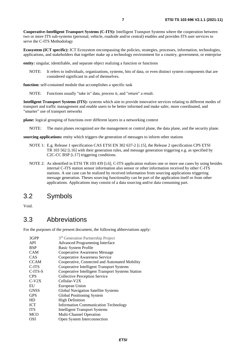<span id="page-6-0"></span>**Cooperative-Intelligent Transport Systems (C-ITS):** Intelligent Transport Systems where the cooperation between two or more ITS sub-systems (personal, vehicle, roadside and/or central) enables and provides ITS user services to serve the C-ITS Methodology

**Ecosystem (ICT specific):** ICT Ecosystem encompassing the policies, strategies, processes, information, technologies, applications, and stakeholders that together make up a technology environment for a country, government, or enterprise

**entity:** singular, identifiable, and separate object realizing a function or functions

NOTE: It refers to individuals, organizations, systems, bits of data, or even distinct system components that are considered significant in and of themselves.

**function:** self-contained module that accomplishes a specific task

NOTE: Functions usually "take in" data, process it, and "return" a result.

**Intelligent Transport Systems (ITS):** systems which aim to provide innovative services relating to different modes of transport and traffic management and enable users to be better informed and make safer, more coordinated, and "smarter" use of transport networks

**plane:** logical grouping of functions over different layers in a networking context

NOTE: The main planes recognized are the management or control plane, the data plane, and the security plane.

**sourcing applications:** entity which triggers the generation of messages to inform other stations

- NOTE 1: E.g. Release 1 specification CAS ETSI EN 302 637-2 [\[i.15](#page-5-0)], the Release 2 specification CPS ETSI TR 103 562 [\[i.16](#page-5-0)] with their generation rules, and message generation triggering e.g. as specified by C2C-CC BSP [\[i.17](#page-5-0)] triggering conditions.
- NOTE 2: As identified in ETSI TR 103 439 [\[i.6](#page-4-0)], C-ITS application realizes one or more use cases by using besides internal C-ITS station sensor information also sensor or other information received by other C-ITS stations. A use case can be realized by received information from sourcing applications triggering message generation. Theses sourcing functionality can be part of the application itself or from other applications. Applications may consist of a data sourcing and/or data consuming part.

#### 3.2 Symbols

Void.

#### 3.3 Abbreviations

For the purposes of the present document, the following abbreviations apply:

| 3GPP        | 3 <sup>rd</sup> Generation Partnership Project    |
|-------------|---------------------------------------------------|
| <b>API</b>  | <b>Advanced Programming Interface</b>             |
| <b>BSP</b>  | Basic System Profile                              |
| <b>CAM</b>  | <b>Cooperative Awareness Message</b>              |
| CAS         | Cooperative Awareness Service                     |
| <b>CCAM</b> | Cooperative, Connected and Automated Mobility     |
| C-ITS       | Cooperative Intelligent Transport Systems         |
| $C-ITS-S$   | Cooperative Intelligent Transport Systems Station |
| <b>CPS</b>  | Collective Perception Service                     |
| $C-V2X$     | Cellular-V2X                                      |
| EU          | European Union                                    |
| <b>GNSS</b> | Global Navigation Satellite Systems               |
| <b>GPS</b>  | Global Positioning System                         |
| HD          | <b>High Definition</b>                            |
| <b>ICT</b>  | <b>Information Communication Technology</b>       |
| <b>ITS</b>  | <b>Intelligent Transport Systems</b>              |
| <b>MCO</b>  | Multi-Channel Operation                           |
| <b>OSI</b>  | Open System Interconnection                       |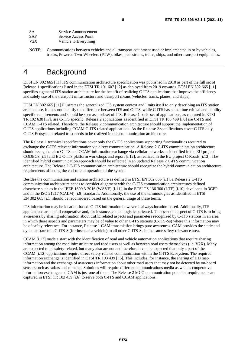<span id="page-7-0"></span>

| <b>SA</b>  | Service Announcement  |
|------------|-----------------------|
| <b>SAP</b> | Service Access Point  |
| V2X        | Vehicle to Everything |

NOTE: Communications between vehicles and all transport equipment used or implemented in or by vehicles, trucks, Powered Two-Wheelers (PTW), bikes, pedestrians, trains, ships, and other transport equipment's.

# 4 Background

ETSI EN 302 665 [\[i.1](#page-4-0)] ITS communication architecture specification was published in 2010 as part of the full set of Release 1 specifications listed in the ETSI TR 101 607 [\[i.2](#page-4-0)] as deployed from 2019 onwards. ETSI EN 302 665 [\[i.1](#page-4-0)] specifies a general ITS station architecture for the benefit of realizing C-ITS applications that improve the efficiency and safely use of the transport infrastructure and transport means (vehicles, trains, planes, and ships).

ETSI EN 302 665 [\[i.1](#page-4-0)] illustrates the generalized ITS system context and limits itself to only describing an ITS station architecture. It does not identify the difference between ITS and C-ITS, while C-ITS has some time critical and liability specific requirements and should be seen as a subset of ITS. Release 1 basic set of applications, as captured in ETSI TR 102 638 [\[i.7](#page-5-0)], are C-ITS specific. Release 2 applications as identified in ETSI TR 103 439 [\[i.6](#page-4-0)] are C-ITS and CCAM C-ITS related. Therefore, the Release 2 communication architecture should support the implementation of C-ITS applications including CCAM C-ITS related applications. As the Release 2 specifications cover C-ITS only, C-ITS Ecosystem related trust needs to be realized in this communication architecture.

The Release 1 technical specifications cover only the C-ITS applications supporting functionalities required to exchange the C-ITS relevant information via direct communication. A Release 2 C-ITS communication architecture should recognize also C-ITS and CCAM information exchange via cellular networks as identified in the EU project CODECS [\[i.5](#page-4-0)] and EU C-ITS platform workshops and report [\[i.12](#page-5-0)], as realized in the EU project C-Roads [\[i.13](#page-5-0)]. The identified hybrid communication approach should be reflected in an updated Release 2 C-ITS communication architecture. The Release 2 C-ITS communication architecture should recognize the hybrid communication architecture requirements affecting the end-to-end operation of the system.

Besides the communication and station architecture as defined in ETSI EN 302 665 [\[i.1](#page-4-0)], a Release 2 C-ITS communication architecture needs to consider alignment with the C-ITS communication architectures defined elsewhere such as in the IEEE 1609.3-2016 (WAVE) [\[i.11](#page-5-0)], in the ETSI TS 136 300 (LTE) [\[i.10](#page-5-0)] developed in 3GPP and in the ISO 21217 (CALM) [[i.9](#page-5-0)] standards. Additionally, the use of the terminologies as identified in ETSI EN 302 665 [\[i.1](#page-4-0)] should be reconsidered based on the general usage of these terms.

ITS information may be location-based. C-ITS information however is always location-based. Additionally, ITS applications are not all cooperative and, for instance, can be logistics oriented. The essential aspect of C-ITS is to bring awareness by sharing information about traffic related aspects and parameters recognized by C-ITS stations in an area in which these aspects and parameters may be of value to other C-ITS stations (C-ITS-Ss) where this information may be of safety relevance. For instance, Release 1 CAM transmission brings pure awareness. CAM provides the static and dynamic state of a C-ITS-S (for instance a vehicle) to all other C-ITS-Ss in the same safety relevance area.

CCAM [\[i.12](#page-5-0)] made a start with the identification of road and vehicle automation applications that require sharing information among the road infrastructure and road users as well as between road users themselves (i.e. V2X). Many are expected to be safety-related, but many also are not and therefore it can be expected that only a part of the CCAM [\[i.12](#page-5-0)] applications require direct safety-related communication within the C-ITS Ecosystem. The required information exchange is identified in ETSI TR 103 439 [\[i.6](#page-4-0)]. This includes, for instance, the sharing of HD map information and the exchange of awareness information about other road users that may not be detected by on-board sensors such as radars and cameras. Solutions will require different communications media as well as cooperative information exchange and CAM is just one of them. The Release 2 MCO communication potential requirements are captured in ETSI TR 103 439 [\[i.6](#page-4-0)] to serve both C-ITS and CCAM applications.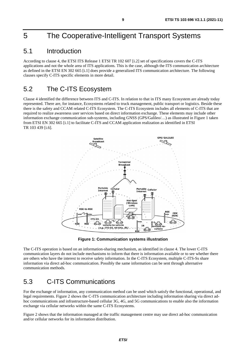# <span id="page-8-0"></span>5 The Cooperative-Intelligent Transport Systems

#### 5.1 Introduction

According to clause 4, the ETSI ITS Release 1 ETSI TR 102 607 [\[i.2](#page-4-0)] set of specifications covers the C-ITS applications and not the whole area of ITS applications. This is the case, although the ITS communication architecture as defined in the ETSI EN 302 665 [\[i.1\]](#page-4-0) does provide a generalized ITS communication architecture. The following clauses specify C-ITS specific elements in more detail.

### 5.2 The C-ITS Ecosystem

Clause [4](#page-7-0) identified the difference between ITS and C-ITS. In relation to that in ITS many Ecosystem are already today represented. There are, for instance, Ecosystems related to truck management, public transport or logistics. Beside these there is the safety and CCAM related C-ITS Ecosystem. The C-ITS Ecosystem includes all elements of C-ITS that are required to realize awareness user services based on direct information exchange. These elements may include other information exchange communication sub-systems, including GNSS (GPS/Galileo/...) as illustrated in Figure 1 taken from ETSI EN 302 665 [\[i.1](#page-4-0)] to facilitate C-ITS and CCAM application realization as identified in ETSI TR 103 439 [\[i.6](#page-4-0)].



**Figure 1: Communication systems illustration** 

The C-ITS operation is based on an information-sharing mechanism, as identified in clause [4](#page-7-0). The lower C-ITS communication layers do not include mechanisms to inform that there is information available or to see whether there are others who have the interest to receive safety information. In the C-ITS Ecosystem, multiple C-ITS-Ss share information via direct ad-hoc communication. Possibly the same information can be sent through alternative communication methods.

## 5.3 C-ITS Communications

For the exchange of information, any communication method can be used which satisfy the functional, operational, and legal requirements. [Figure 2](#page-9-0) shows the C-ITS communication architecture including information sharing via direct adhoc communications and infrastructure-based cellular 3G, 4G, and 5G communications to enable also the information exchange via cellular networks within the same C-ITS Ecosystems.

[Figure 2](#page-9-0) shows that the information managed at the traffic management centre may use direct ad-hoc communication and/or cellular networks for its information distribution.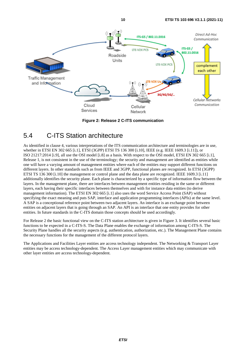<span id="page-9-0"></span>

**Figure 2: Release 2 C-ITS communication** 

### 5.4 C-ITS Station architecture

As identified in clause [4](#page-7-0), various interpretations of the ITS communication architecture and terminologies are in use, whether in ETSI EN 302 665 [\[i.1](#page-4-0)], ETSI (3GPP) ETSI TS 136 300 [\[i.10](#page-5-0)], IEEE (e.g. IEEE 1609.3 [\[i.11\]](#page-5-0)), or ISO 21217:2014 [\[i.9](#page-5-0)], all use the OSI model [[i.8](#page-5-0)] as a basis. With respect to the OSI model, ETSI EN 302 665 [\[i.1](#page-4-0)], Release 1, is not consistent in the use of the terminology; the security and management are identified as entities while one will have a varying amount of management entities where each of the entities may support different functions on different layers. In other standards such as from IEEE and 3GPP, functional planes are recognized. In ETSI (3GPP) ETSI TS 136 300 [\[i.10](#page-5-0)] the management or control plane and the data plane are recognized. IEEE 1609.3 [\[i.11](#page-5-0)] additionally identifies the security plane. Each plane is characterized by a specific type of information flow between the layers. In the management plane, there are interfaces between management entities residing in the same or different layers, each having their specific interfaces between themselves and with for instance data entities (to derive management information). The ETSI EN 302 665 [\[i.1](#page-4-0)] also uses the word Service Access Point (SAP) without specifying the exact meaning and puts SAP, interface and application programming interfaces (APIs) at the same level. A SAP is a conceptional reference point between two adjacent layers. An interface is an exchange point between entities on adjacent layers that is going through an SAP. An API is an interface that one entity provides for other entities. In future standards in the C-ITS domain those concepts should be used accordingly.

For Release 2 the basic functional view on the C-ITS station architecture is given in [Figure 3](#page-10-0). It identifies several basic functions to be expected in a C-ITS-S. The Data Plane enables the exchange of information among C-ITS-S. The Security Plane handles all the security aspects (e.g. authentication, authorization, etc.). The Management Plane contains the necessary functions for the management of the different protocol layers.

The Applications and Facilities Layer entities are access technology independent. The Networking & Transport Layer entities may be access technology-dependent. The Access Layer management entities which may communicate with other layer entities are access technology-dependent.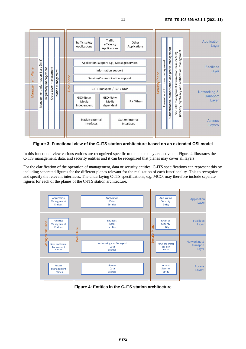<span id="page-10-0"></span>

#### **Figure 3: Functional view of the C-ITS station architecture based on an extended OSI model**

In this functional view various entities are recognized specific to the plane they are active on. Figure 4 illustrates the C-ITS management, data, and security entities and it can be recognized that planes may cover all layers.

For the clarification of the operation of management, data or security entities, C-ITS specifications can represent this by including separated figures for the different planes relevant for the realization of each functionality. This to recognize and specify the relevant interfaces. The underlaying C-ITS specifications, e.g. MCO, may therefore include separate figures for each of the planes of the C-ITS station architecture.



**Figure 4: Entities in the C-ITS station architecture**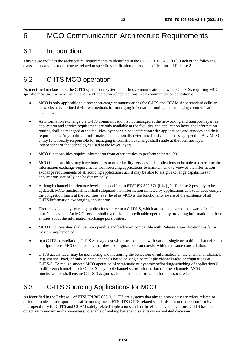# <span id="page-11-0"></span>6 MCO Communication Architecture Requirements

#### 6.1 Introduction

This clause includes the architectural requirements as identified in the ETSI TR 103 439 [\[i.6](#page-4-0)]. Each of the following clauses lists a set of requirements related to specific specification or set of specifications of Release 2.

### 6.2 C-ITS MCO operation

As identified in clause [5.3](#page-8-0), the C-ITS operational system identifies communication between C-ITS-Ss requiring MCO specific measures, which ensure concurrent operation of applications in all communication conditions:

- MCO is only applicable to direct short-range communications for C-ITS and CCAM since standard cellular networks have defined their own methods for managing information routing and managing communication channels.
- As information exchange via C-ITS communication is not managed at the networking and transport layer, as application and service requirement are only available at the facilities and application layer, the information routing shall be managed at the facilities layer for a close interaction with applications and services and their requirements. Any routing of information is functionally determined and can be message specific. Any MCO entity functionally responsible for managing information exchange shall reside at the facilities layer independent of the technologies used at the lower layers.
- MCO functionalities require information from other entities to perform their task(s).
- MCO functionalities may have interfaces to other facility services and applications to be able to determine the information exchange requirements from sourcing applications to maintain an overview of the information exchange requirements of all sourcing application such it may be able to assign exchange capabilities to applications statically and/or dynamically.
- Although channel interference levels are specified in ETSI EN 302 571 [\[i.14](#page-5-0)] (for Release 2 possibly to be updated), MCO functionalities shall safeguard that information initiated by applications as a total does comply the congestion limits at the facilities layer level as MCO is the functionality aware of the existence of all C-ITS information exchanging applications.
- There may be many sourcing applications active in a C-ITS-S, which are not and cannot be aware of each other's behaviour. An MCO service shall maximize the predictable operation by providing information to these entities about the information exchange possibilities.
- MCO functionalities shall be interoperable and backward compatible with Release 1 specifications as far as they are implemented.
- In a C-ITS constellation, C-ITS-Ss may exist which are equipped with various single or multiple channel radio configurations. MCO shall ensure that these configurations can coexist within the same constellation.
- C-ITS access layer may be monitoring and measuring the behaviour of information on the channel or channels (e.g. channel load) of only selected channels based on single or multiple channel radio configurations at C-ITS-S. To realize smooth MCO operation of semi-static or dynamic offloading/switching of application(s) to different channels, each C-ITS-S may need channel status information of other channels. MCO functionalities shall ensure C-ITS-S acquires channel status information for all associated channels.

## 6.3 C-ITS Sourcing Applications for MCO

As identified in the Release 1 of ETSI EN 302 665 [\[i.1](#page-4-0)], ITS are systems that aim to provide user services related to different modes of transport and traffic management. ETSI ITS C-ITS-related standards aim to realize conformity and interoperability for C-ITS and CCAM safety-related applications and traffic efficiency applications. C-ITS has the objective to maximize the awareness, to enable of making better and safer transport-related decisions.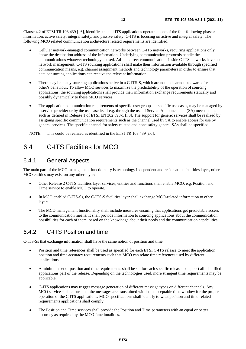<span id="page-12-0"></span>Clause 4.2 of ETSI TR 103 439 [\[i.6](#page-4-0)], identifies that all ITS applications operate in one of the four following phases: information, active safety, integral safety, and passive safety. C-ITS is focusing on active and integral safety. The following MCO related communication architecture related requirements are identified:

- Cellular network-managed communication networks between C-ITS networks, requiring applications only know the destination address of the information. Underlying communication protocols handle the communications whatever technology is used. Ad-hoc direct communications inside C-ITS networks have no network management; C-ITS sourcing applications shall make their information available through specified communication means, e.g. channel assignment methods and technology parameters in order to ensure that data consuming applications can receive the relevant information.
- There may be many sourcing applications active in a C-ITS-S, which are not and cannot be aware of each other's behaviour. To allow MCO services to maximize the predictability of the operation of sourcing applications, the sourcing applications shall provide their information exchange requirements statically and possibly dynamically to these MCO services.
- The application communication requirements of specific user groups or specific use cases, may be managed by a service provider or by the use case itself e.g. through the use of Service Announcement (SA) mechanisms such as defined in Release 1 of ETSI EN 302 890-1 [\[i.3](#page-4-0)]. The support for generic services shall be realized by assigning specific communication requirements such as the channel used by SA to enable access for use by general services. The specific channel for safety related and none safety general SAs shall be specified.

NOTE: This could be realized as identified in the ETSI TR 103 439 [\[i.6](#page-4-0)].

#### 6.4 C-ITS Facilities for MCO

#### 6.4.1 General Aspects

The main part of the MCO management functionality is technology independent and reside at the facilities layer, other MCO entities may exist on any other layer:

- Other Release 2 C-ITS facilities layer services, entities and functions shall enable MCO, e.g. Position and Time service to enable MCO to operate.
- In MCO enabled C-ITS-Ss, the C-ITS-S facilities layer shall exchange MCO-related information to other layers.
- The MCO management functionality shall include measures ensuring that applications get predictable access to the communication means. It shall provide information to sourcing applications about the communication possibilities for each of them, based on the knowledge about their needs and the communication capabilities.

#### 6.4.2 C-ITS Position and time

C-ITS-Ss that exchange information shall have the same notion of position and time:

- Position and time references shall be used as specified for each ETSI C-ITS release to meet the application position and time accuracy requirements such that MCO can relate time references used by different applications.
- A minimum set of position and time requirements shall be set for each specific release to support all identified applications part of the release. Depending on the technologies used, more stringent time requirements may be applicable.
- C-ITS applications may trigger message generation of different message types on different channels. Any MCO service shall ensure that the messages are transmitted within an acceptable time window for the proper operation of the C-ITS applications. MCO specifications shall identify to what position and time-related requirements applications shall comply.
- The Position and Time services shall provide the Position and Time parameters with an equal or better accuracy as required by the MCO functionalities.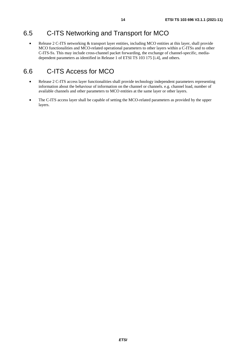## <span id="page-13-0"></span>6.5 C-ITS Networking and Transport for MCO

Release 2 C-ITS networking & transport layer entities, including MCO entities at this layer, shall provide MCO functionalities and MCO-related operational parameters to other layers within a C-ITSs and to other C-ITS-Ss. This may include cross-channel packet forwarding, the exchange of channel-specific, mediadependent parameters as identified in Release 1 of ETSI TS 103 175 [\[i.4](#page-4-0)], and others.

# 6.6 C-ITS Access for MCO

- Release 2 C-ITS access layer functionalities shall provide technology independent parameters representing information about the behaviour of information on the channel or channels. e.g. channel load, number of available channels and other parameters to MCO entities at the same layer or other layers.
- The C-ITS access layer shall be capable of setting the MCO-related parameters as provided by the upper layers.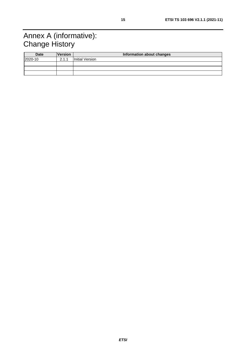# <span id="page-14-0"></span>Annex A (informative): Change History

| <b>Date</b> | <b>Version</b> | Information about changes |
|-------------|----------------|---------------------------|
| 2020-10     | 2.1.1          | Initial Version           |
|             |                |                           |
|             |                |                           |
|             |                |                           |